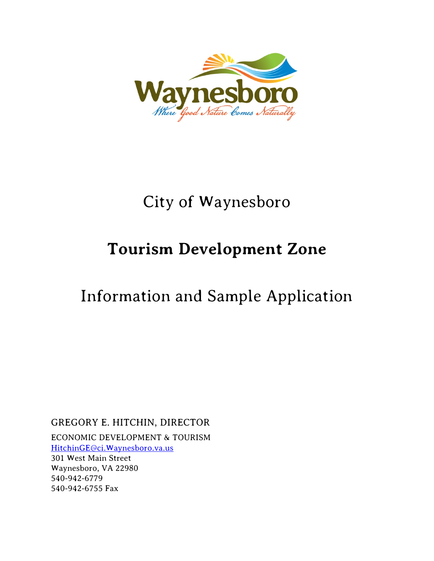

## City of Waynesboro

# **Tourism Development Zone**

## Information and Sample Application

GREGORY E. HITCHIN, DIRECTOR

ECONOMIC DEVELOPMENT & TOURISM [HitchinGE@ci.Waynesboro.va.us](mailto:HitchinGE@ci.Waynesboro.va.us)

301 West Main Street Waynesboro, VA 22980 540-942-6779 540-942-6755 Fax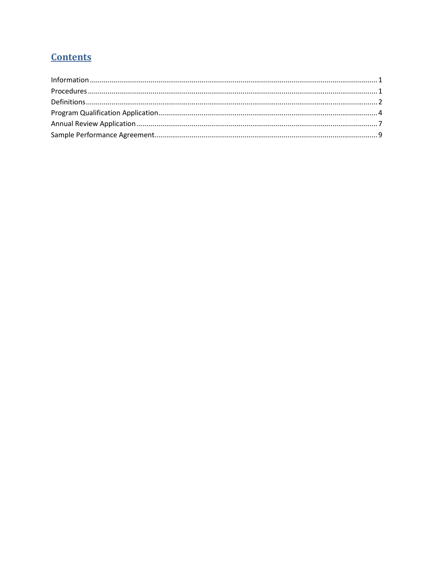#### **Contents**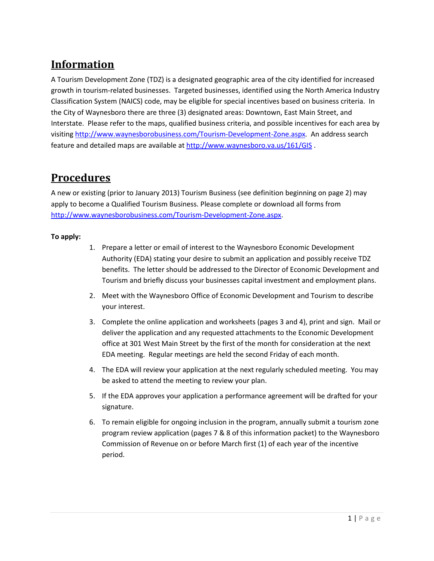#### **Information**

A Tourism Development Zone (TDZ) is a designated geographic area of the city identified for increased growth in tourism-related businesses. Targeted businesses, identified using the North America Industry Classification System (NAICS) code, may be eligible for special incentives based on business criteria. In the City of Waynesboro there are three (3) designated areas: Downtown, East Main Street, and Interstate. Please refer to the maps, qualified business criteria, and possible incentives for each area by visiting [http://www.waynesborobusiness.com/Tourism-Development-Zone.aspx.](http://www.waynesborobusiness.com/Tourism-Development-Zone.aspx) An address search feature and detailed maps are available at<http://www.waynesboro.va.us/161/GIS> .

#### <span id="page-2-0"></span>**Procedures**

A new or existing (prior to January 2013) Tourism Business (see definition beginning on page 2) may apply to become a Qualified Tourism Business. Please complete or download all forms from [http://www.waynesborobusiness.com/Tourism-Development-Zone.aspx.](http://www.waynesborobusiness.com/Tourism-Development-Zone.aspx)

#### **To apply:**

- 1. Prepare a letter or email of interest to the Waynesboro Economic Development Authority (EDA) stating your desire to submit an application and possibly receive TDZ benefits. The letter should be addressed to the Director of Economic Development and Tourism and briefly discuss your businesses capital investment and employment plans.
- 2. Meet with the Waynesboro Office of Economic Development and Tourism to describe your interest.
- 3. Complete the online application and worksheets (pages 3 and 4), print and sign. Mail or deliver the application and any requested attachments to the Economic Development office at 301 West Main Street by the first of the month for consideration at the next EDA meeting. Regular meetings are held the second Friday of each month.
- 4. The EDA will review your application at the next regularly scheduled meeting. You may be asked to attend the meeting to review your plan.
- 5. If the EDA approves your application a performance agreement will be drafted for your signature.
- 6. To remain eligible for ongoing inclusion in the program, annually submit a tourism zone program review application (pages 7 & 8 of this information packet) to the Waynesboro Commission of Revenue on or before March first (1) of each year of the incentive period.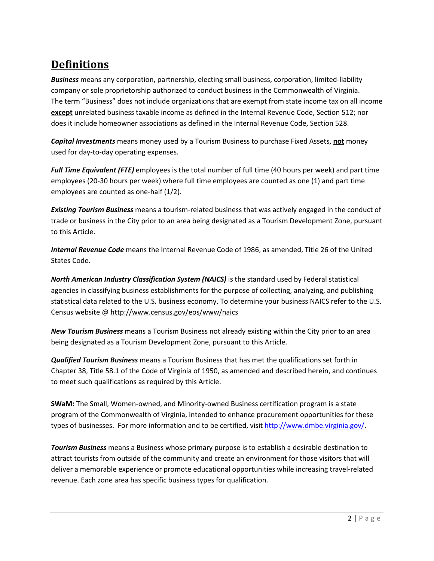### <span id="page-3-0"></span>**Definitions**

*Business* means any corporation, partnership, electing small business, corporation, limited-liability company or sole proprietorship authorized to conduct business in the Commonwealth of Virginia. The term "Business" does not include organizations that are exempt from state income tax on all income **except** unrelated business taxable income as defined in the Internal Revenue Code, Section 512; nor does it include homeowner associations as defined in the Internal Revenue Code, Section 528.

*Capital Investments* means money used by a Tourism Business to purchase Fixed Assets, **not** money used for day-to-day operating expenses.

*Full Time Equivalent (FTE)* employees is the total number of full time (40 hours per week) and part time employees (20-30 hours per week) where full time employees are counted as one (1) and part time employees are counted as one-half (1/2).

*Existing Tourism Business* means a tourism-related business that was actively engaged in the conduct of trade or business in the City prior to an area being designated as a Tourism Development Zone, pursuant to this Article.

*Internal Revenue Code* means the Internal Revenue Code of 1986, as amended, Title 26 of the United States Code.

*North American Industry Classification System (NAICS)* is the standard used by Federal statistical agencies in classifying business establishments for the purpose of collecting, analyzing, and publishing statistical data related to the U.S. business economy. To determine your business NAICS refer to the U.S. Census website @<http://www.census.gov/eos/www/naics>

*New Tourism Business* means a Tourism Business not already existing within the City prior to an area being designated as a Tourism Development Zone, pursuant to this Article.

*Qualified Tourism Business* means a Tourism Business that has met the qualifications set forth in Chapter 38, Title 58.1 of the Code of Virginia of 1950, as amended and described herein, and continues to meet such qualifications as required by this Article.

**SWaM:** The Small, Women-owned, and Minority-owned Business certification program is a state program of the Commonwealth of Virginia, intended to enhance procurement opportunities for these types of businesses. For more information and to be certified, visit [http://www.dmbe.virginia.gov/.](http://www.dmbe.virginia.gov/)

*Tourism Business* means a Business whose primary purpose is to establish a desirable destination to attract tourists from outside of the community and create an environment for those visitors that will deliver a memorable experience or promote educational opportunities while increasing travel-related revenue. Each zone area has specific business types for qualification.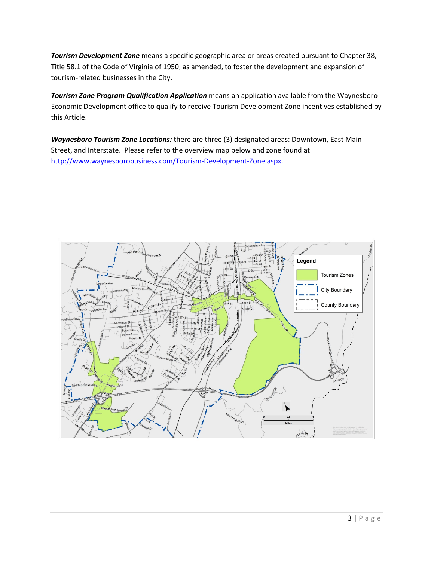*Tourism Development Zone* means a specific geographic area or areas created pursuant to Chapter 38, Title 58.1 of the Code of Virginia of 1950, as amended, to foster the development and expansion of tourism-related businesses in the City.

*Tourism Zone Program Qualification Application* means an application available from the Waynesboro Economic Development office to qualify to receive Tourism Development Zone incentives established by this Article.

*Waynesboro Tourism Zone Locations:* there are three (3) designated areas: Downtown, East Main Street, and Interstate. Please refer to the overview map below and zone found at [http://www.waynesborobusiness.com/Tourism-Development-Zone.aspx.](http://www.waynesborobusiness.com/Tourism-Development-Zone.aspx)

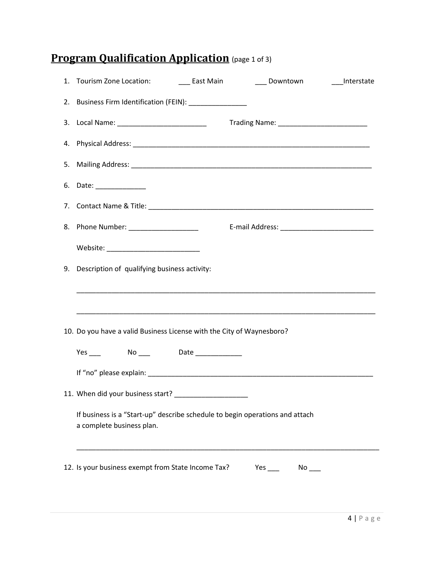### <span id="page-5-0"></span>**Program Qualification Application** (page 1 of 3)

| 1. Tourism Zone Location: Cast Main<br>Downtown<br>Interstate                                             |
|-----------------------------------------------------------------------------------------------------------|
| 2. Business Firm Identification (FEIN): ______________                                                    |
|                                                                                                           |
|                                                                                                           |
|                                                                                                           |
| 6. Date: _____________                                                                                    |
|                                                                                                           |
| 8. Phone Number: _____________________                                                                    |
| Website: ____________________________                                                                     |
| 9. Description of qualifying business activity:                                                           |
|                                                                                                           |
|                                                                                                           |
| 10. Do you have a valid Business License with the City of Waynesboro?                                     |
| Yes _____ No ____ Date ___________                                                                        |
|                                                                                                           |
| 11. When did your business start?                                                                         |
| If business is a "Start-up" describe schedule to begin operations and attach<br>a complete business plan. |
| 12. Is your business exempt from State Income Tax?<br>Yes $\_\_$<br>$No$ $\qquad$                         |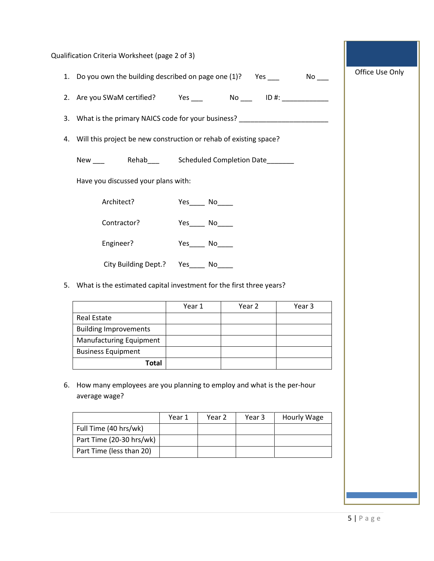|    | Qualification Criteria Worksheet (page 2 of 3)                                          |        |                     |        |             |                 |  |
|----|-----------------------------------------------------------------------------------------|--------|---------------------|--------|-------------|-----------------|--|
|    | 1. Do you own the building described on page one (1)? Yes _______________________       |        |                     |        |             | Office Use Only |  |
|    |                                                                                         |        |                     |        |             |                 |  |
|    | 3. What is the primary NAICS code for your business? ___________________________        |        |                     |        |             |                 |  |
|    | 4. Will this project be new construction or rehab of existing space?                    |        |                     |        |             |                 |  |
|    | New ___ Rehab___ Scheduled Completion Date______                                        |        |                     |        |             |                 |  |
|    | Have you discussed your plans with:                                                     |        |                     |        |             |                 |  |
|    | Architect?                                                                              |        | Yes_______ No______ |        |             |                 |  |
|    | Contractor?                                                                             |        | Yes_______ No______ |        |             |                 |  |
|    |                                                                                         |        |                     |        |             |                 |  |
|    | Engineer?                                                                               | Yes No |                     |        |             |                 |  |
|    | City Building Dept.? Yes____ No___                                                      |        |                     |        |             |                 |  |
|    | 5. What is the estimated capital investment for the first three years?                  |        |                     |        |             |                 |  |
|    |                                                                                         | Year 1 |                     | Year 2 | Year 3      |                 |  |
|    | <b>Real Estate</b>                                                                      |        |                     |        |             |                 |  |
|    | <b>Building Improvements</b>                                                            |        |                     |        |             |                 |  |
|    | Manufacturing Equipment                                                                 |        |                     |        |             |                 |  |
|    | <b>Business Equipment</b>                                                               |        |                     |        |             |                 |  |
|    | <b>Total</b>                                                                            |        |                     |        |             |                 |  |
| 6. | How many employees are you planning to employ and what is the per-hour<br>average wage? |        |                     |        |             |                 |  |
|    |                                                                                         | Year 1 | Year 2              | Year 3 | Hourly Wage |                 |  |
|    | Full Time (40 hrs/wk)                                                                   |        |                     |        |             |                 |  |
|    | Part Time (20-30 hrs/wk)<br>Part Time (less than 20)                                    |        |                     |        |             |                 |  |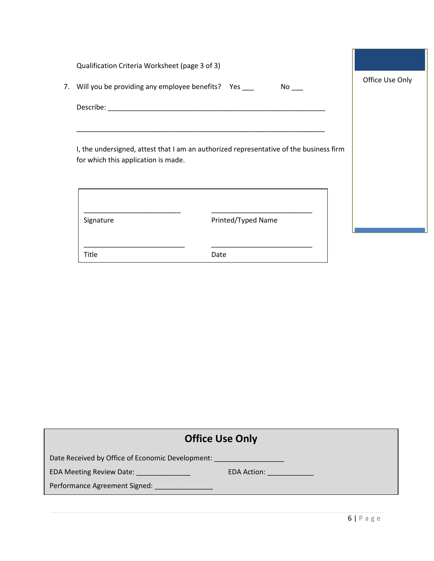|                                                                                                                                                                                                                                | Qualification Criteria Worksheet (page 3 of 3)                                         | Office Use Only |
|--------------------------------------------------------------------------------------------------------------------------------------------------------------------------------------------------------------------------------|----------------------------------------------------------------------------------------|-----------------|
|                                                                                                                                                                                                                                | 7. Will you be providing any employee benefits? Yes                                    |                 |
| Describe: and the second property of the second second second second second second second second second second second second second second second second second second second second second second second second second second | <u> 1980 - Jan Bernard, mars eta biztanleria (h. 1980).</u>                            |                 |
|                                                                                                                                                                                                                                | I, the undersigned, attest that I am an authorized representative of the business firm |                 |
| for which this application is made.                                                                                                                                                                                            |                                                                                        |                 |
| Signature                                                                                                                                                                                                                      | Printed/Typed Name                                                                     |                 |

| <b>Office Use Only</b>                           |  |  |  |  |
|--------------------------------------------------|--|--|--|--|
| Date Received by Office of Economic Development: |  |  |  |  |
| EDA Meeting Review Date: [19]<br>EDA Action:     |  |  |  |  |
| Performance Agreement Signed:                    |  |  |  |  |
|                                                  |  |  |  |  |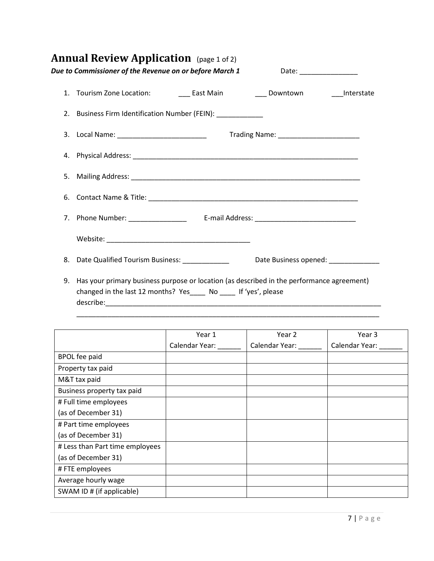<span id="page-8-0"></span>

|  |  | <b>Annual Review Application</b> (page 1 of 2) |  |
|--|--|------------------------------------------------|--|
|--|--|------------------------------------------------|--|

| Due to Commissioner of the Revenue on or before March 1                                                                                                           | Date: __________________             |
|-------------------------------------------------------------------------------------------------------------------------------------------------------------------|--------------------------------------|
|                                                                                                                                                                   |                                      |
| 2. Business Firm Identification Number (FEIN):                                                                                                                    |                                      |
|                                                                                                                                                                   |                                      |
|                                                                                                                                                                   |                                      |
|                                                                                                                                                                   |                                      |
|                                                                                                                                                                   |                                      |
|                                                                                                                                                                   |                                      |
|                                                                                                                                                                   |                                      |
| 8. Date Qualified Tourism Business: _____________                                                                                                                 | Date Business opened: ______________ |
| 9. Has your primary business purpose or location (as described in the performance agreement)<br>changed in the last 12 months? Yes_____ No _____ If 'yes', please |                                      |

| changed in the last 12 months: $1e_3$ and $e_4$ ive and $e_5$ , prease |  |  |
|------------------------------------------------------------------------|--|--|
| describe:                                                              |  |  |
|                                                                        |  |  |
|                                                                        |  |  |

|                                 | Year 1         | Year 2         | Year 3         |
|---------------------------------|----------------|----------------|----------------|
|                                 | Calendar Year: | Calendar Year: | Calendar Year: |
| <b>BPOL</b> fee paid            |                |                |                |
| Property tax paid               |                |                |                |
| M&T tax paid                    |                |                |                |
| Business property tax paid      |                |                |                |
| # Full time employees           |                |                |                |
| (as of December 31)             |                |                |                |
| # Part time employees           |                |                |                |
| (as of December 31)             |                |                |                |
| # Less than Part time employees |                |                |                |
| (as of December 31)             |                |                |                |
| #FTE employees                  |                |                |                |
| Average hourly wage             |                |                |                |
| SWAM ID # (if applicable)       |                |                |                |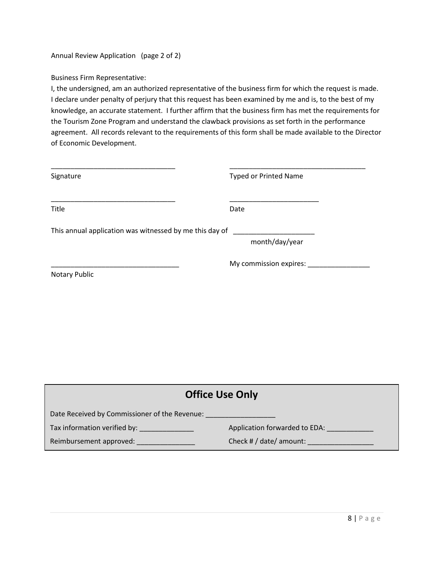Annual Review Application (page 2 of 2)

Business Firm Representative:

I, the undersigned, am an authorized representative of the business firm for which the request is made. I declare under penalty of perjury that this request has been examined by me and is, to the best of my knowledge, an accurate statement. I further affirm that the business firm has met the requirements for the Tourism Zone Program and understand the clawback provisions as set forth in the performance agreement. All records relevant to the requirements of this form shall be made available to the Director of Economic Development.

| Signature                                               | <b>Typed or Printed Name</b> |
|---------------------------------------------------------|------------------------------|
| Title                                                   | Date                         |
| This annual application was witnessed by me this day of | month/day/year               |
| Notary Public                                           | My commission expires:       |

| <b>Office Use Only</b>                        |                               |  |  |
|-----------------------------------------------|-------------------------------|--|--|
| Date Received by Commissioner of the Revenue: |                               |  |  |
| Tax information verified by: _______________  | Application forwarded to EDA: |  |  |
| Reimbursement approved:                       | Check # $/$ date/ amount:     |  |  |